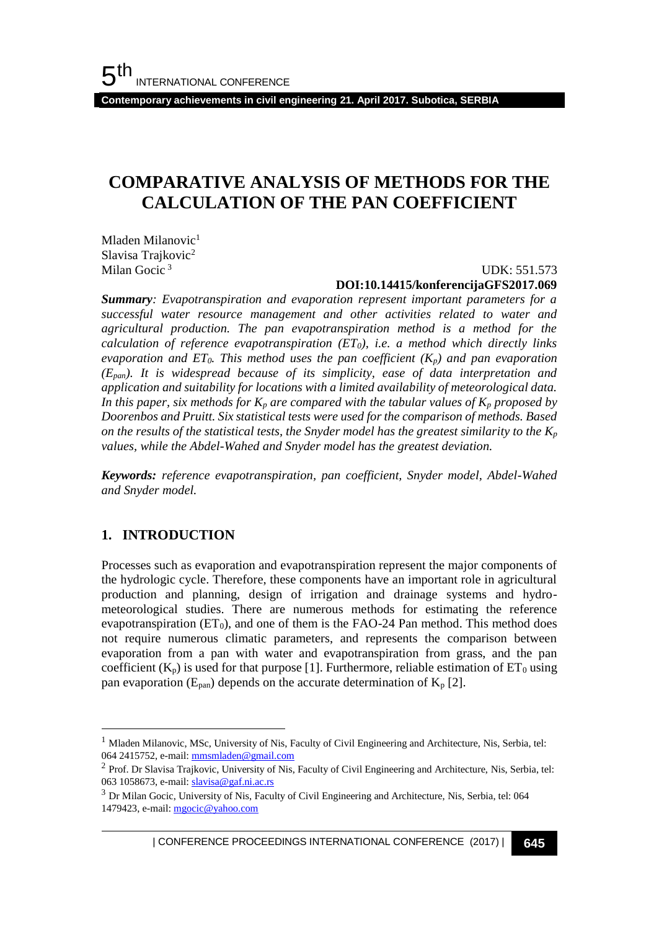**Contemporary achievements in civil engineering 21. April 2017. Subotica, SERBIA**

## **COMPARATIVE ANALYSIS OF METHODS FOR THE CALCULATION OF THE PAN COEFFICIENT**

Mladen Milanovic $<sup>1</sup>$ </sup> Slavisa Trajkovic<sup>2</sup> Milan Gocic<sup>3</sup>

#### UDK: 551.573 **DOI:10.14415/konferencijaGFS2017.069**

*Summary: Evapotranspiration and evaporation represent important parameters for a successful water resource management and other activities related to water and agricultural production. The pan evapotranspiration method is a method for the calculation of reference evapotranspiration (ET0), i.e. a method which directly links evaporation and ET0. This method uses the pan coefficient (Kp) and pan evaporation (Epan). It is widespread because of its simplicity, ease of data interpretation and application and suitability for locations with a limited availability of meteorological data. In this paper, six methods for*  $K_p$  *are compared with the tabular values of*  $K_p$  *proposed by Doorenbos and Pruitt. Six statistical tests were used for the comparison of methods. Based on the results of the statistical tests, the Snyder model has the greatest similarity to the K<sup>p</sup> values, while the Abdel-Wahed and Snyder model has the greatest deviation.* 

*Keywords: reference evapotranspiration, pan coefficient, Snyder model, Abdel-Wahed and Snyder model.*

## **1. INTRODUCTION**

l

Processes such as evaporation and evapotranspiration represent the major components of the hydrologic cycle. Therefore, these components have an important role in agricultural production and planning, design of irrigation and drainage systems and hydrometeorological studies. There are numerous methods for estimating the reference evapotranspiration  $(ET_0)$ , and one of them is the FAO-24 Pan method. This method does not require numerous climatic parameters, and represents the comparison between evaporation from a pan with water and evapotranspiration from grass, and the pan coefficient  $(K_p)$  is used for that purpose [1]. Furthermore, reliable estimation of  $ET_0$  using pan evaporation ( $E_{pan}$ ) depends on the accurate determination of  $K_p$  [2].

 $<sup>1</sup>$  Mladen Milanovic, MSc, University of Nis, Faculty of Civil Engineering and Architecture, Nis, Serbia, tel:</sup> 064 2415752, e-mail[: mmsmladen@gmail.com](mailto:mmsmladen@gmail.com)

<sup>&</sup>lt;sup>2</sup> Prof. Dr Slavisa Trajkovic, University of Nis, Faculty of Civil Engineering and Architecture, Nis, Serbia, tel: 063 1058673, e-mail[: slavisa@gaf.ni.ac.rs](mailto:slavisa@gaf.ni.ac.rs)

<sup>3</sup> Dr Milan Gocic, University of Nis, Faculty of Civil Engineering and Architecture, Nis, Serbia, tel: 064 1479423, e-mail[: mgocic@yahoo.com](mailto:mgocic@yahoo.com)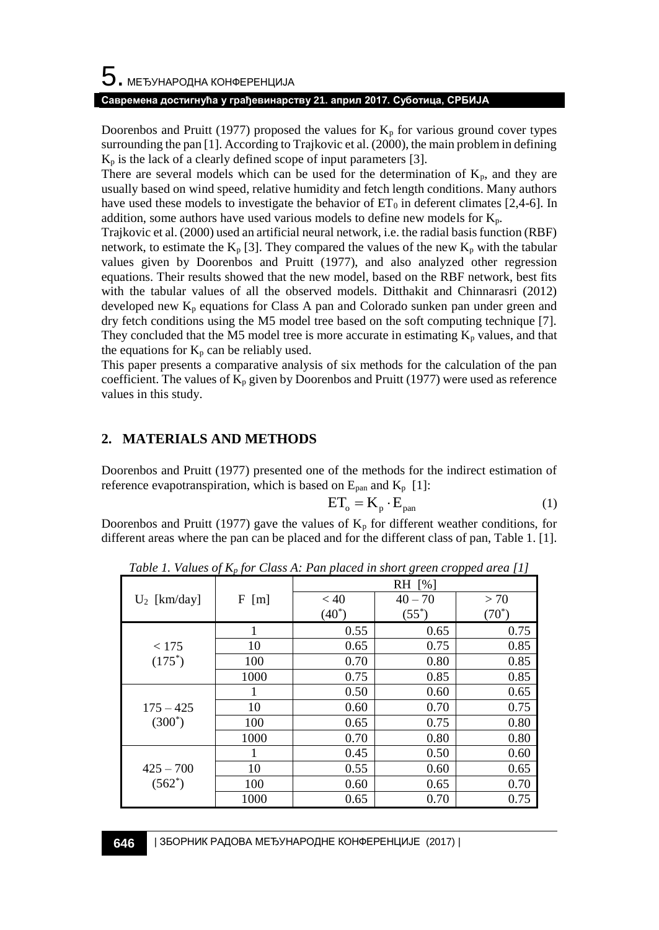#### **Савремена достигнућа у грађевинарству 21. април 2017. Суботица, СРБИЈА**

Doorenbos and Pruitt (1977) proposed the values for  $K_p$  for various ground cover types surrounding the pan [1]. According to Trajkovic et al. (2000), the main problem in defining  $K_p$  is the lack of a clearly defined scope of input parameters [3].

There are several models which can be used for the determination of  $K_p$ , and they are usually based on wind speed, relative humidity and fetch length conditions. Many authors have used these models to investigate the behavior of  $ET_0$  in deferent climates [2,4-6]. In addition, some authors have used various models to define new models for  $K_p$ .

Trajkovic et al. (2000) used an artificial neural network, i.e. the radial basis function (RBF) network, to estimate the K<sub>p</sub> [3]. They compared the values of the new K<sub>p</sub> with the tabular values given by Doorenbos and Pruitt (1977), and also analyzed other regression equations. Their results showed that the new model, based on the RBF network, best fits with the tabular values of all the observed models. Ditthakit and Chinnarasri (2012) developed new  $K_p$  equations for Class A pan and Colorado sunken pan under green and dry fetch conditions using the M5 model tree based on the soft computing technique [7]. They concluded that the M5 model tree is more accurate in estimating  $K_p$  values, and that the equations for  $K_p$  can be reliably used.

This paper presents a comparative analysis of six methods for the calculation of the pan coefficient. The values of  $K_p$  given by Doorenbos and Pruitt (1977) were used as reference values in this study.

## **2. MATERIALS AND METHODS**

Doorenbos and Pruitt (1977) presented one of the methods for the indirect estimation of reference evapotranspiration, which is based on  $E_{\text{pan}}$  and  $K_{\text{p}}$  [1]:

$$
ET_{o} = K_{p} \cdot E_{pan}
$$
 (1)

Doorenbos and Pruitt (1977) gave the values of  $K_p$  for different weather conditions, for different areas where the pan can be placed and for the different class of pan, Table 1. [1].

| $\cdots$ $\cdots$ $\cdots$ $\cdots$ |      |          |           |          |  |
|-------------------------------------|------|----------|-----------|----------|--|
|                                     |      | RH [%]   |           |          |  |
| $U_2$ [km/day]                      | F[m] | < 40     | $40 - 70$ | >70      |  |
|                                     |      | $(40^*)$ | $(55^*)$  | $(70^*)$ |  |
| < 175<br>$(175^*)$                  |      | 0.55     | 0.65      | 0.75     |  |
|                                     | 10   | 0.65     | 0.75      | 0.85     |  |
|                                     | 100  | 0.70     | 0.80      | 0.85     |  |
|                                     | 1000 | 0.75     | 0.85      | 0.85     |  |
| $175 - 425$<br>$(300^*)$            | 1    | 0.50     | 0.60      | 0.65     |  |
|                                     | 10   | 0.60     | 0.70      | 0.75     |  |
|                                     | 100  | 0.65     | 0.75      | 0.80     |  |
|                                     | 1000 | 0.70     | 0.80      | 0.80     |  |
| $425 - 700$<br>$(562^*)$            |      | 0.45     | 0.50      | 0.60     |  |
|                                     | 10   | 0.55     | 0.60      | 0.65     |  |
|                                     | 100  | 0.60     | 0.65      | 0.70     |  |
|                                     | 1000 | 0.65     | 0.70      | 0.75     |  |

*Table 1. Values of K<sup>p</sup> for Class A: Pan placed in short green cropped area [1]*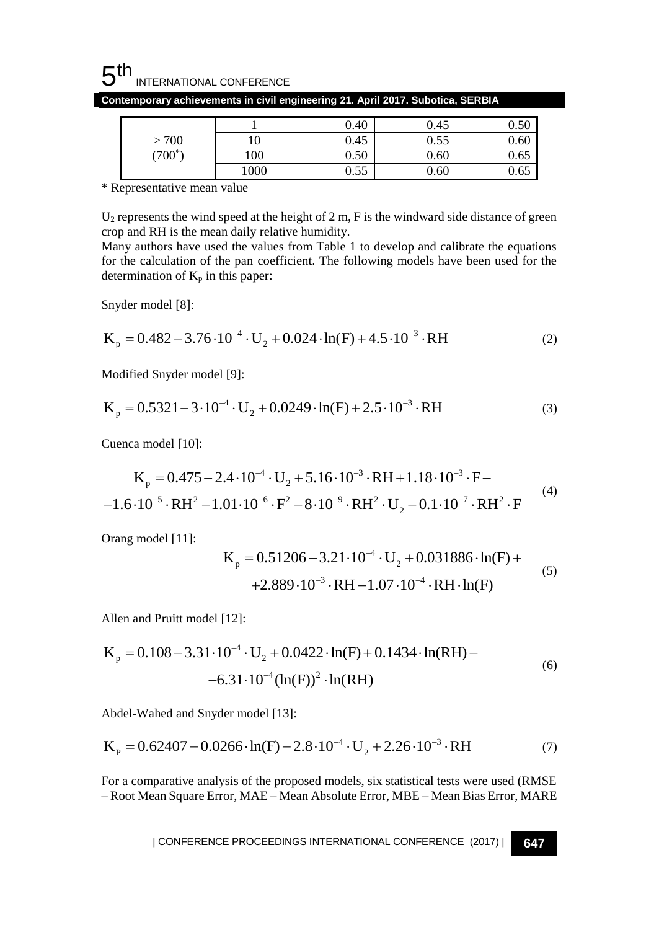

| >700<br>$(700^*)$ |                 | 0.40               | 0.45 | ሰ ደሰ<br>∪.∪ |
|-------------------|-----------------|--------------------|------|-------------|
|                   |                 | 0.45               | 0.55 | 0.60        |
|                   | 00 <sub>1</sub> | $0.50\,$           | 0.60 | U.OJ        |
|                   | 1000            | $\epsilon$<br>U.JJ | 0.60 | U.OJ        |

**Contemporary achievements in civil engineering 21. April 2017. Subotica, SERBIA**

\* Representative mean value

U<sup>2</sup> represents the wind speed at the height of 2 m, F is the windward side distance of green crop and RH is the mean daily relative humidity.

Many authors have used the values from Table 1 to develop and calibrate the equations for the calculation of the pan coefficient. The following models have been used for the determination of  $K_p$  in this paper:

Snyder model [8]:

Snyder model [8]:  
\n
$$
K_p = 0.482 - 3.76 \cdot 10^{-4} \cdot U_2 + 0.024 \cdot \ln(F) + 4.5 \cdot 10^{-3} \cdot RH
$$
\n(2)

Modified Snyder model [9]:

Modified Snyder model [9]:

\n
$$
K_{p} = 0.5321 - 3 \cdot 10^{-4} \cdot U_{2} + 0.0249 \cdot \ln(F) + 2.5 \cdot 10^{-3} \cdot RH
$$
\n(3)

Cuenca model [10]:

Cuenca model [10]:  
\n
$$
K_p = 0.475 - 2.4 \cdot 10^{-4} \cdot U_2 + 5.16 \cdot 10^{-3} \cdot RH + 1.18 \cdot 10^{-3} \cdot F -
$$
\n
$$
-1.6 \cdot 10^{-5} \cdot RH^2 - 1.01 \cdot 10^{-6} \cdot F^2 - 8 \cdot 10^{-9} \cdot RH^2 \cdot U_2 - 0.1 \cdot 10^{-7} \cdot RH^2 \cdot F
$$
\n(4)

Orang model [11]:

$$
K_p = 0.51206 - 3.21 \cdot 10^{-4} \cdot U_2 + 0.031886 \cdot ln(F) ++ 2.889 \cdot 10^{-3} \cdot RH - 1.07 \cdot 10^{-4} \cdot RH \cdot ln(F)
$$
 (5)

Allen and Pruitt model [12]:

Allen and Pruit model [12]:  
\n
$$
K_p = 0.108 - 3.31 \cdot 10^{-4} \cdot U_2 + 0.0422 \cdot \ln(F) + 0.1434 \cdot \ln(RH) - 6.31 \cdot 10^{-4} (\ln(F))^2 \cdot \ln(RH)
$$
\n(6)

Abdel-Wahed and Snyder model [13]:  
\n
$$
K_{\rm p} = 0.62407 - 0.0266 \cdot \ln(F) - 2.8 \cdot 10^{-4} \cdot U_2 + 2.26 \cdot 10^{-3} \cdot RH
$$
\n(7)

For a comparative analysis of the proposed models, six statistical tests were used (RMSE – Root Mean Square Error, MAE – Mean Absolute Error, MBE – Mean Bias Error, MARE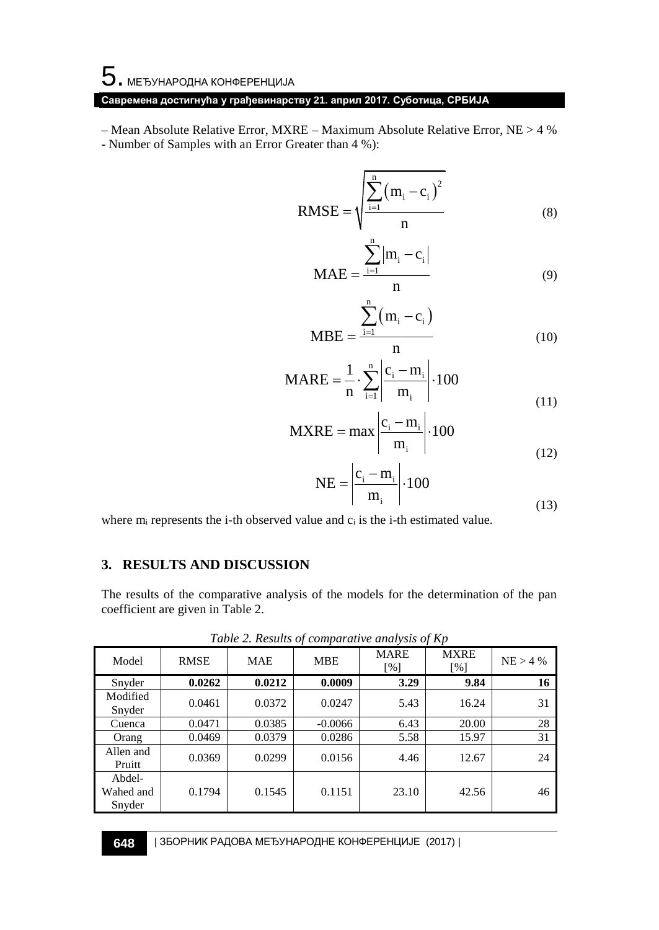# 5. МЕЂУНАРОДНА КОНФЕРЕНЦИЈА

## **Савремена достигнућа у грађевинарству 21. април 2017. Суботица, СРБИЈА**

– Mean Absolute Relative Error, MXRE – Maximum Absolute Relative Error, NE > 4 % - Number of Samples with an Error Greater than 4 %):

RMSE = 
$$
\sqrt{\frac{\sum_{i=1}^{n} (m_i - c_i)^2}{n}}
$$
 (8)

$$
MAE = \frac{\sum_{i=1}^{n} |m_i - c_i|}{n}
$$
 (9)

$$
MBE = \frac{\sum_{i=1}^{n} (m_i - c_i)}{n}
$$
 (10)

$$
MARE = \frac{1}{n} \cdot \sum_{i=1}^{n} \left| \frac{c_i - m_i}{m_i} \right| \cdot 100
$$
 (11)

n

$$
\text{MXRE} = \max \left| \frac{c_i - m_i}{m_i} \right| \cdot 100
$$
\n(12)

$$
NE = \left| \frac{c_i - m_i}{m_i} \right| \cdot 100
$$
\n(13)

where  $m_i$  represents the i-th observed value and  $c_i$  is the i-th estimated value.

#### **3. RESULTS AND DISCUSSION**

The results of the comparative analysis of the models for the determination of the pan coefficient are given in Table 2.

| Model                         | <b>RMSE</b> | <b>MAE</b> | <b>MBE</b> | <b>MARE</b><br>[%] | <b>MXRE</b><br>$\lceil\% \rceil$ | $NE > 4$ % |
|-------------------------------|-------------|------------|------------|--------------------|----------------------------------|------------|
| Snyder                        | 0.0262      | 0.0212     | 0.0009     | 3.29               | 9.84                             | 16         |
| Modified<br>Snyder            | 0.0461      | 0.0372     | 0.0247     | 5.43               | 16.24                            | 31         |
| Cuenca                        | 0.0471      | 0.0385     | $-0.0066$  | 6.43               | 20.00                            | 28         |
| Orang                         | 0.0469      | 0.0379     | 0.0286     | 5.58               | 15.97                            | 31         |
| Allen and<br>Pruitt           | 0.0369      | 0.0299     | 0.0156     | 4.46               | 12.67                            | 24         |
| Abdel-<br>Wahed and<br>Snyder | 0.1794      | 0.1545     | 0.1151     | 23.10              | 42.56                            | 46         |

*Table 2. Results of comparative analysis of Kp*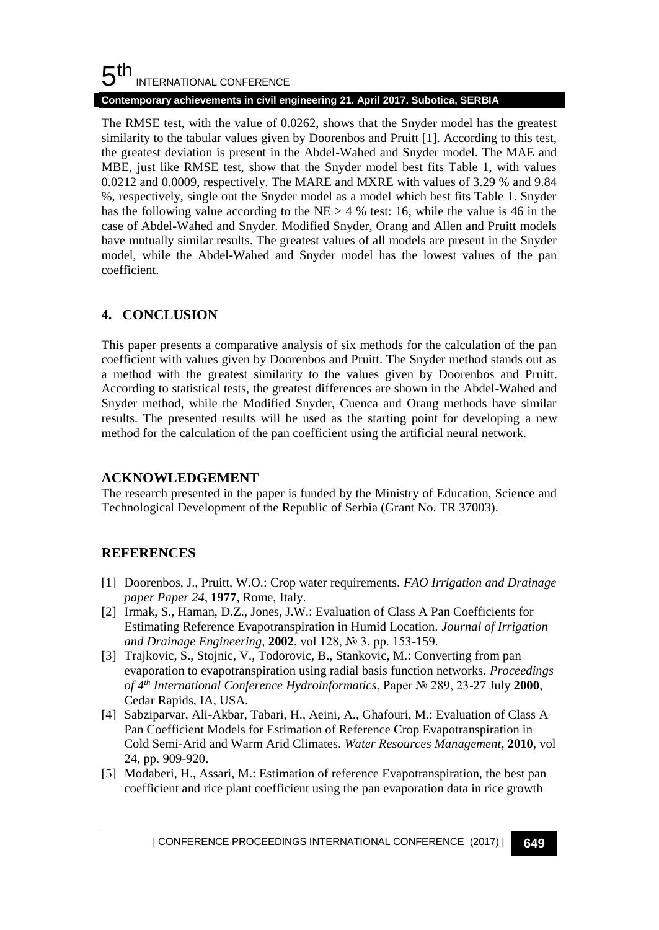#### 5 th INTERNATIONAL CONFERENCE

### **Contemporary achievements in civil engineering 21. April 2017. Subotica, SERBIA**

The RMSE test, with the value of 0.0262, shows that the Snyder model has the greatest similarity to the tabular values given by Doorenbos and Pruitt [1]. According to this test, the greatest deviation is present in the Abdel-Wahed and Snyder model. The MAE and MBE, just like RMSE test, show that the Snyder model best fits Table 1, with values 0.0212 and 0.0009, respectively. The MARE and MXRE with values of 3.29 % and 9.84 %, respectively, single out the Snyder model as a model which best fits Table 1. Snyder has the following value according to the  $NE > 4$  % test: 16, while the value is 46 in the case of Abdel-Wahed and Snyder. Modified Snyder, Orang and Allen and Pruitt models have mutually similar results. The greatest values of all models are present in the Snyder model, while the Abdel-Wahed and Snyder model has the lowest values of the pan coefficient.

## **4. CONCLUSION**

This paper presents a comparative analysis of six methods for the calculation of the pan coefficient with values given by Doorenbos and Pruitt. The Snyder method stands out as a method with the greatest similarity to the values given by Doorenbos and Pruitt. According to statistical tests, the greatest differences are shown in the Abdel-Wahed and Snyder method, while the Modified Snyder, Cuenca and Orang methods have similar results. The presented results will be used as the starting point for developing a new method for the calculation of the pan coefficient using the artificial neural network.

## **ACKNOWLEDGEMENT**

The research presented in the paper is funded by the Ministry of Education, Science and Technological Development of the Republic of Serbia (Grant No. TR 37003).

## **REFERENCES**

- [1] Doorenbos, J., Pruitt, W.O.: Crop water requirements. *FAO Irrigation and Drainage paper Paper 24*, **1977**, Rome, Italy.
- [2] Irmak, S., Haman, D.Z., Jones, J.W.: Evaluation of Class A Pan Coefficients for Estimating Reference Evapotranspiration in Humid Location. *Journal of Irrigation and Drainage Engineering,* **2002**, vol 128, № 3, pp. 153-159.
- [3] Trajkovic, S., Stojnic, V., Todorovic, B., Stankovic, M.: Converting from pan evaporation to evapotranspiration using radial basis function networks. *Proceedings of 4th International Conference Hydroinformatics*, Paper № 289, 23-27 July **2000**, Cedar Rapids, IA, USA.
- [4] Sabziparvar, Ali-Akbar, Tabari, H., Aeini, A., Ghafouri, M.: Evaluation of Class A Pan Coefficient Models for Estimation of Reference Crop Evapotranspiration in Cold Semi-Arid and Warm Arid Climates. *Water Resources Management*, **2010**, vol 24, pp. 909-920.
- [5] Modaberi, H., Assari, M.: Estimation of reference Evapotranspiration, the best pan coefficient and rice plant coefficient using the pan evaporation data in rice growth